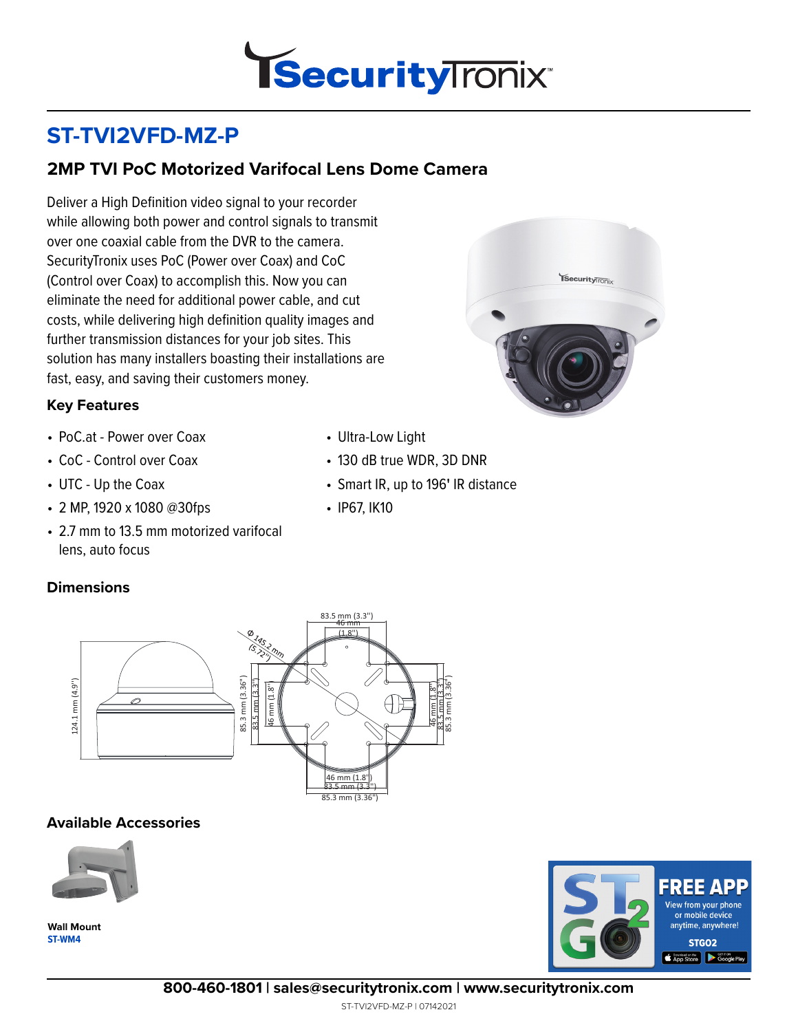

# **ST-TVI2VFD-MZ-P**

### **2MP TVI PoC Motorized Varifocal Lens Dome Camera**

Deliver a High Definition video signal to your recorder while allowing both power and control signals to transmit over one coaxial cable from the DVR to the camera. SecurityTronix uses PoC (Power over Coax) and CoC (Control over Coax) to accomplish this. Now you can eliminate the need for additional power cable, and cut costs, while delivering high definition quality images and further transmission distances for your job sites. This solution has many installers boasting their installations are fast, easy, and saving their customers money.

#### **Key Features**

- PoC.at Power over Coax
- CoC Control over Coax
- UTC Up the Coax
- 2 MP, 1920 x 1080 @30fps
- 2.7 mm to 13.5 mm motorized varifocal lens, auto focus

#### **Dimensions**



- 130 dB true WDR, 3D DNR
- Smart IR, up to 196**'** IR distance
- IP67, IK10



#### **Available Accessories**



**ST-WM4 Wall Mount**